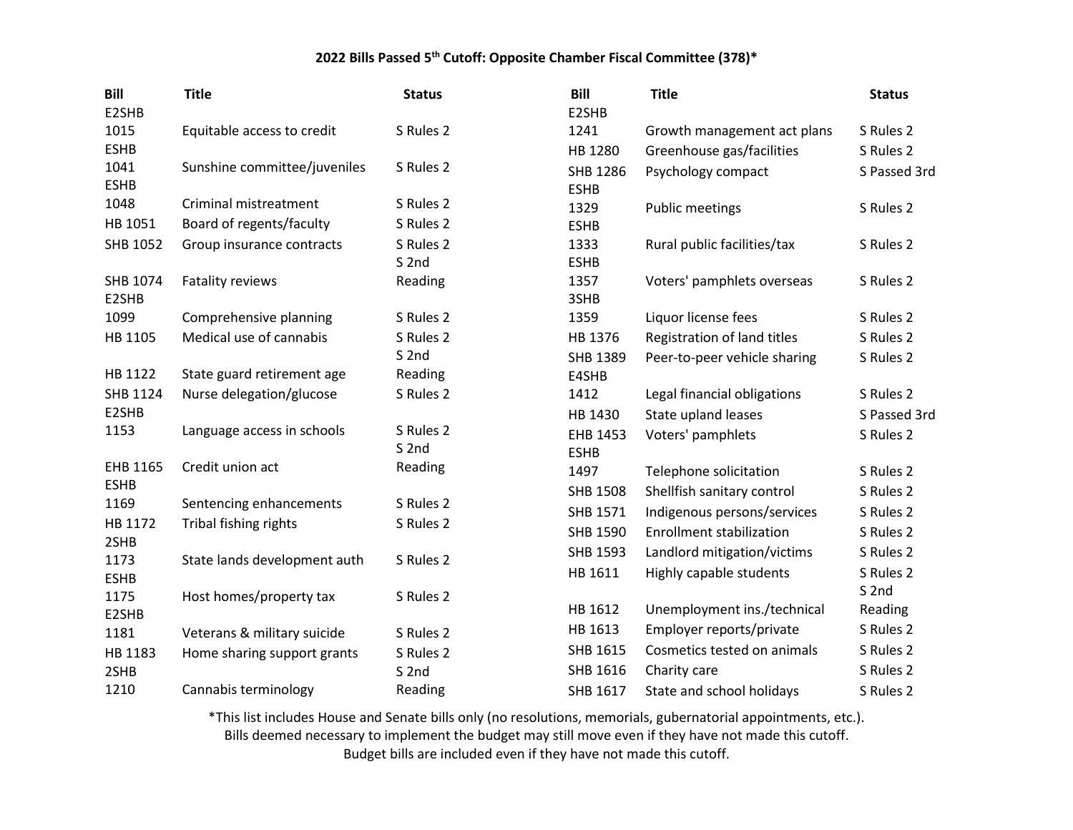| <b>Bill</b><br>E2SHB | <b>Title</b>                 | <b>Status</b>                 | <b>Bill</b><br>E2SHB    | <b>Title</b>                    | <b>Status</b>    |
|----------------------|------------------------------|-------------------------------|-------------------------|---------------------------------|------------------|
| 1015                 | Equitable access to credit   | S Rules 2                     | 1241                    | Growth management act plans     | S Rules 2        |
| <b>ESHB</b>          |                              |                               | HB 1280                 | Greenhouse gas/facilities       | S Rules 2        |
| 1041<br><b>ESHB</b>  | Sunshine committee/juveniles | S Rules 2                     | SHB 1286<br><b>ESHB</b> | Psychology compact              | S Passed 3rd     |
| 1048                 | Criminal mistreatment        | S Rules 2                     | 1329                    | <b>Public meetings</b>          | S Rules 2        |
| HB 1051              | Board of regents/faculty     | S Rules 2                     | <b>ESHB</b>             |                                 |                  |
| SHB 1052             | Group insurance contracts    | S Rules 2<br>S <sub>2nd</sub> | 1333<br><b>ESHB</b>     | Rural public facilities/tax     | S Rules 2        |
| SHB 1074<br>E2SHB    | Fatality reviews             | Reading                       | 1357<br>3SHB            | Voters' pamphlets overseas      | S Rules 2        |
| 1099                 | Comprehensive planning       | S Rules 2                     | 1359                    | Liquor license fees             | S Rules 2        |
| HB 1105              | Medical use of cannabis      | S Rules 2                     | HB 1376                 | Registration of land titles     | S Rules 2        |
|                      |                              | S <sub>2nd</sub>              | SHB 1389                | Peer-to-peer vehicle sharing    | S Rules 2        |
| HB 1122              | State guard retirement age   | Reading                       | E4SHB                   |                                 |                  |
| SHB 1124             | Nurse delegation/glucose     | S Rules 2                     | 1412                    | Legal financial obligations     | S Rules 2        |
| E2SHB                |                              |                               | HB 1430                 | State upland leases             | S Passed 3rd     |
| 1153                 | Language access in schools   | S Rules 2                     | EHB 1453                | Voters' pamphlets               | S Rules 2        |
|                      |                              | S <sub>2nd</sub>              | <b>ESHB</b>             |                                 |                  |
| EHB 1165             | Credit union act             | Reading                       | 1497                    | Telephone solicitation          | S Rules 2        |
| <b>ESHB</b><br>1169  |                              | S Rules 2                     | <b>SHB 1508</b>         | Shellfish sanitary control      | S Rules 2        |
| HB 1172              | Sentencing enhancements      | S Rules 2                     | SHB 1571                | Indigenous persons/services     | S Rules 2        |
| 2SHB                 | Tribal fishing rights        |                               | SHB 1590                | <b>Enrollment stabilization</b> | S Rules 2        |
| 1173                 | State lands development auth | S Rules 2                     | SHB 1593                | Landlord mitigation/victims     | S Rules 2        |
| <b>ESHB</b>          |                              |                               | HB 1611                 | Highly capable students         | S Rules 2        |
| 1175                 | Host homes/property tax      | S Rules 2                     |                         |                                 | S <sub>2nd</sub> |
| E2SHB                |                              |                               | HB 1612                 | Unemployment ins./technical     | Reading          |
| 1181                 | Veterans & military suicide  | S Rules 2                     | HB 1613                 | Employer reports/private        | S Rules 2        |
| HB 1183              | Home sharing support grants  | S Rules 2                     | SHB 1615                | Cosmetics tested on animals     | S Rules 2        |
| 2SHB                 |                              | S <sub>2nd</sub>              | SHB 1616                | Charity care                    | S Rules 2        |
| 1210                 | Cannabis terminology         | Reading                       | SHB 1617                | State and school holidays       | S Rules 2        |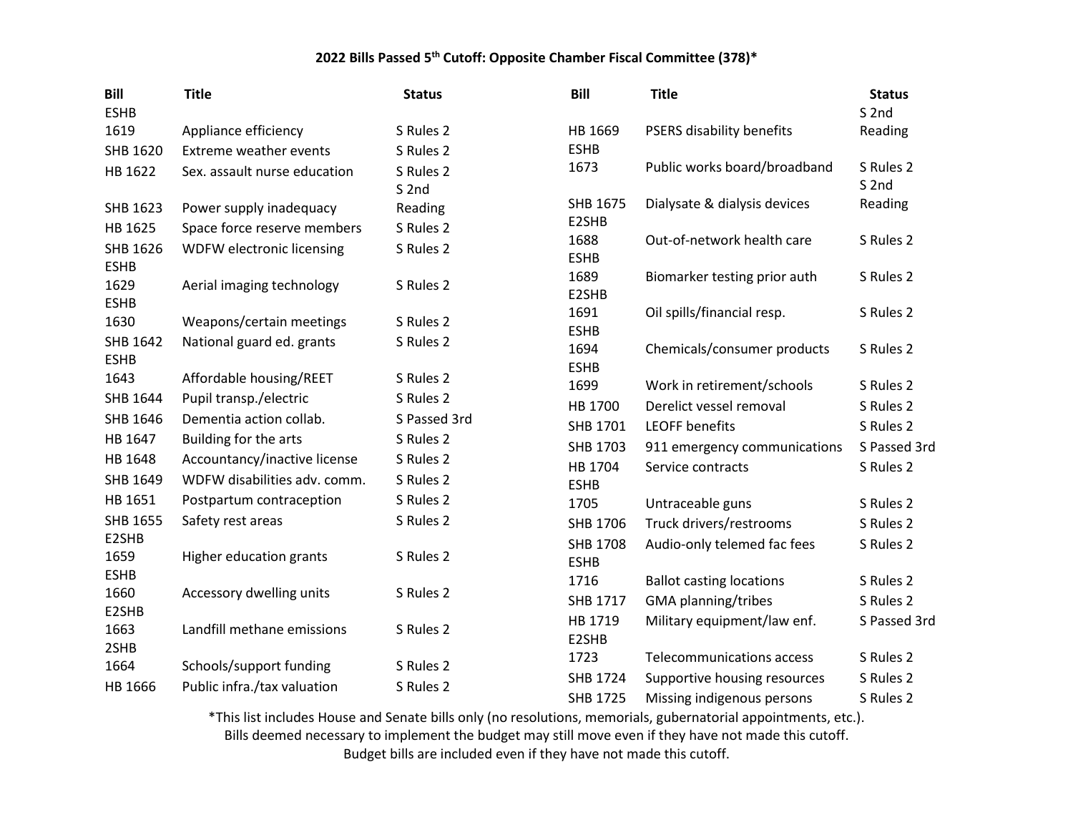| <b>Bill</b><br><b>ESHB</b> | <b>Title</b>                  | <b>Status</b>                 | <b>Bill</b>             | <b>Title</b>                    | <b>Status</b><br>S <sub>2nd</sub> |
|----------------------------|-------------------------------|-------------------------------|-------------------------|---------------------------------|-----------------------------------|
| 1619                       | Appliance efficiency          | S Rules 2                     | HB 1669                 | PSERS disability benefits       | Reading                           |
| SHB 1620                   | <b>Extreme weather events</b> | S Rules 2                     | <b>ESHB</b>             |                                 |                                   |
| HB 1622                    | Sex. assault nurse education  | S Rules 2<br>S <sub>2nd</sub> | 1673                    | Public works board/broadband    | S Rules 2<br>S <sub>2nd</sub>     |
| SHB 1623                   | Power supply inadequacy       | Reading                       | SHB 1675                | Dialysate & dialysis devices    | Reading                           |
| HB 1625                    | Space force reserve members   | S Rules 2                     | E2SHB                   |                                 |                                   |
| SHB 1626<br><b>ESHB</b>    | WDFW electronic licensing     | S Rules 2                     | 1688<br><b>ESHB</b>     | Out-of-network health care      | S Rules 2                         |
| 1629<br><b>ESHB</b>        | Aerial imaging technology     | S Rules 2                     | 1689<br>E2SHB           | Biomarker testing prior auth    | S Rules 2                         |
| 1630                       | Weapons/certain meetings      | S Rules 2                     | 1691<br><b>ESHB</b>     | Oil spills/financial resp.      | S Rules 2                         |
| SHB 1642<br><b>ESHB</b>    | National guard ed. grants     | S Rules 2                     | 1694<br><b>ESHB</b>     | Chemicals/consumer products     | S Rules 2                         |
| 1643                       | Affordable housing/REET       | S Rules 2                     | 1699                    | Work in retirement/schools      | S Rules 2                         |
| SHB 1644                   | Pupil transp./electric        | S Rules 2                     | HB 1700                 | Derelict vessel removal         | S Rules 2                         |
| SHB 1646                   | Dementia action collab.       | S Passed 3rd                  | SHB 1701                | <b>LEOFF benefits</b>           | S Rules 2                         |
| HB 1647                    | Building for the arts         | S Rules 2                     | SHB 1703                | 911 emergency communications    | S Passed 3rd                      |
| HB 1648                    | Accountancy/inactive license  | S Rules 2                     | HB 1704                 | Service contracts               | S Rules 2                         |
| SHB 1649                   | WDFW disabilities adv. comm.  | S Rules 2                     | <b>ESHB</b>             |                                 |                                   |
| HB 1651                    | Postpartum contraception      | S Rules 2                     | 1705                    | Untraceable guns                | S Rules 2                         |
| <b>SHB 1655</b>            | Safety rest areas             | S Rules 2                     | SHB 1706                | Truck drivers/restrooms         | S Rules 2                         |
| E2SHB<br>1659              | Higher education grants       | S Rules 2                     | SHB 1708<br><b>ESHB</b> | Audio-only telemed fac fees     | S Rules 2                         |
| <b>ESHB</b>                |                               |                               | 1716                    | <b>Ballot casting locations</b> | S Rules 2                         |
| 1660<br>E2SHB              | Accessory dwelling units      | S Rules 2                     | SHB 1717                | <b>GMA</b> planning/tribes      | S Rules 2                         |
| 1663<br>2SHB               | Landfill methane emissions    | S Rules 2                     | HB 1719<br>E2SHB        | Military equipment/law enf.     | S Passed 3rd                      |
| 1664                       | Schools/support funding       | S Rules 2                     | 1723                    | Telecommunications access       | S Rules 2                         |
| HB 1666                    | Public infra./tax valuation   | S Rules 2                     | SHB 1724                | Supportive housing resources    | S Rules 2                         |
|                            |                               |                               | <b>SHB 1725</b>         | Missing indigenous persons      | S Rules 2                         |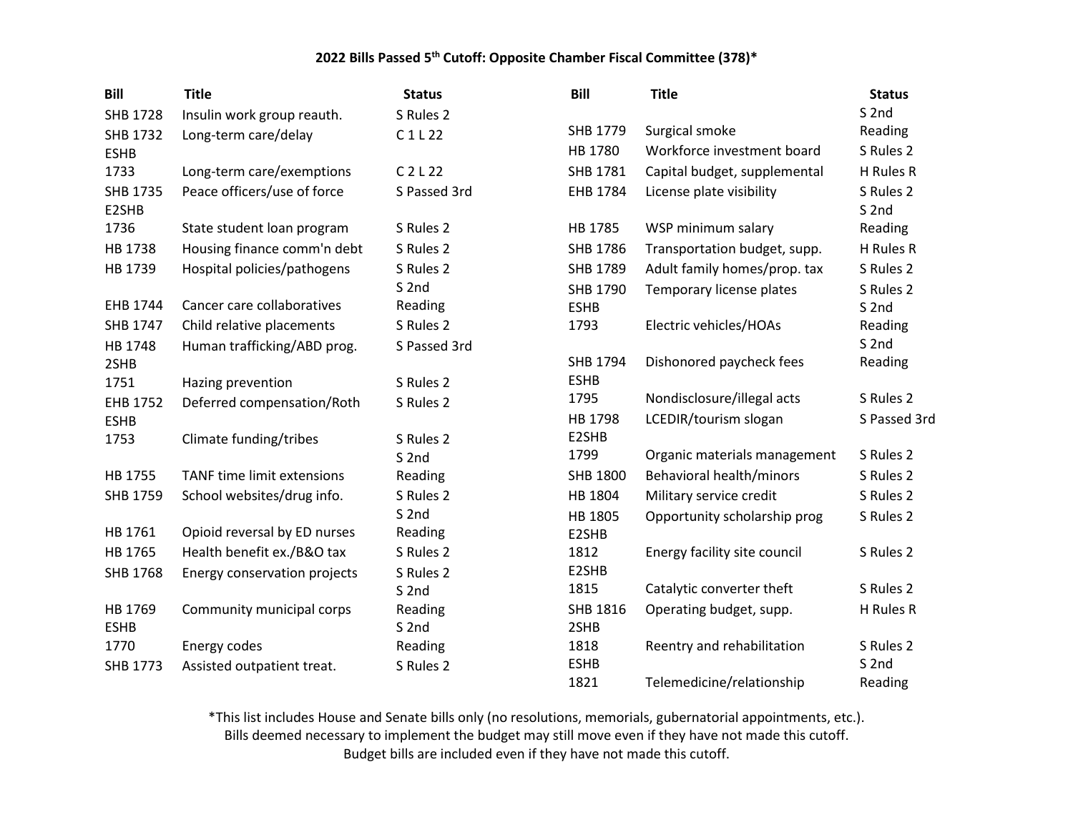| <b>Bill</b>       | <b>Title</b>                 | <b>Status</b>    | <b>Bill</b> | <b>Title</b>                 | <b>Status</b>                 |
|-------------------|------------------------------|------------------|-------------|------------------------------|-------------------------------|
| <b>SHB 1728</b>   | Insulin work group reauth.   | S Rules 2        |             |                              | S <sub>2nd</sub>              |
| SHB 1732          | Long-term care/delay         | C1L22            | SHB 1779    | Surgical smoke               | Reading                       |
| <b>ESHB</b>       |                              |                  | HB 1780     | Workforce investment board   | S Rules 2                     |
| 1733              | Long-term care/exemptions    | $C$ 2 L 22       | SHB 1781    | Capital budget, supplemental | H Rules R                     |
| SHB 1735<br>E2SHB | Peace officers/use of force  | S Passed 3rd     | EHB 1784    | License plate visibility     | S Rules 2<br>S <sub>2nd</sub> |
| 1736              | State student loan program   | S Rules 2        | HB 1785     | WSP minimum salary           | Reading                       |
| HB 1738           | Housing finance comm'n debt  | S Rules 2        | SHB 1786    | Transportation budget, supp. | H Rules R                     |
| HB 1739           | Hospital policies/pathogens  | S Rules 2        | SHB 1789    | Adult family homes/prop. tax | S Rules 2                     |
|                   |                              | S <sub>2nd</sub> | SHB 1790    | Temporary license plates     | S Rules 2                     |
| EHB 1744          | Cancer care collaboratives   | Reading          | <b>ESHB</b> |                              | S <sub>2nd</sub>              |
| SHB 1747          | Child relative placements    | S Rules 2        | 1793        | Electric vehicles/HOAs       | Reading                       |
| HB 1748           | Human trafficking/ABD prog.  | S Passed 3rd     |             |                              | S <sub>2nd</sub>              |
| 2SHB              |                              |                  | SHB 1794    | Dishonored paycheck fees     | Reading                       |
| 1751              | Hazing prevention            | S Rules 2        | <b>ESHB</b> |                              |                               |
| EHB 1752          | Deferred compensation/Roth   | S Rules 2        | 1795        | Nondisclosure/illegal acts   | S Rules 2                     |
| <b>ESHB</b>       |                              |                  | HB 1798     | LCEDIR/tourism slogan        | S Passed 3rd                  |
| 1753              | Climate funding/tribes       | S Rules 2        | E2SHB       |                              |                               |
|                   |                              | S <sub>2nd</sub> | 1799        | Organic materials management | S Rules 2                     |
| HB 1755           | TANF time limit extensions   | Reading          | SHB 1800    | Behavioral health/minors     | S Rules 2                     |
| SHB 1759          | School websites/drug info.   | S Rules 2        | HB 1804     | Military service credit      | S Rules 2                     |
|                   |                              | S <sub>2nd</sub> | HB 1805     | Opportunity scholarship prog | S Rules 2                     |
| HB 1761           | Opioid reversal by ED nurses | Reading          | E2SHB       |                              |                               |
| HB 1765           | Health benefit ex./B&O tax   | S Rules 2        | 1812        | Energy facility site council | S Rules 2                     |
| <b>SHB 1768</b>   | Energy conservation projects | S Rules 2        | E2SHB       |                              |                               |
|                   |                              | S <sub>2nd</sub> | 1815        | Catalytic converter theft    | S Rules 2                     |
| HB 1769           | Community municipal corps    | Reading          | SHB 1816    | Operating budget, supp.      | H Rules R                     |
| <b>ESHB</b>       |                              | S <sub>2nd</sub> | 2SHB        |                              |                               |
| 1770              | Energy codes                 | Reading          | 1818        | Reentry and rehabilitation   | S Rules 2                     |
| <b>SHB 1773</b>   | Assisted outpatient treat.   | S Rules 2        | <b>ESHB</b> |                              | S <sub>2nd</sub>              |
|                   |                              |                  | 1821        | Telemedicine/relationship    | Reading                       |

\*This list includes House and Senate bills only (no resolutions, memorials, gubernatorial appointments, etc.).

Bills deemed necessary to implement the budget may still move even if they have not made this cutoff.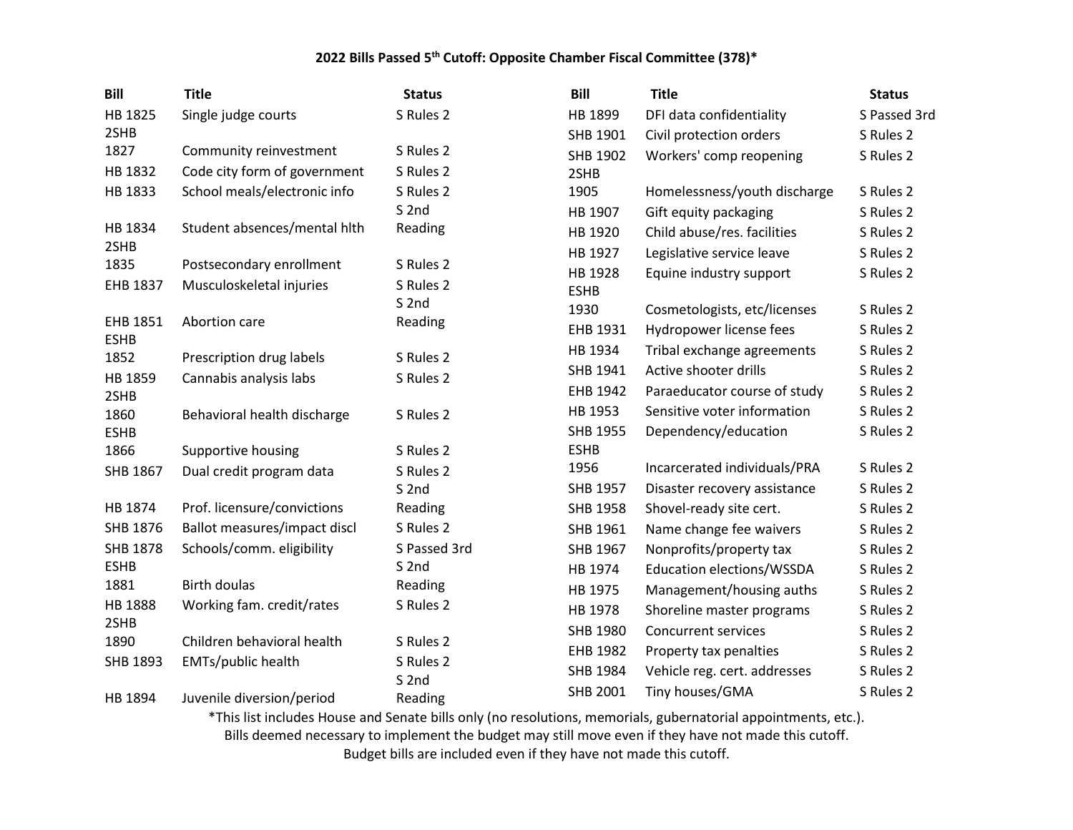| <b>Bill</b>     | <b>Title</b>                 | <b>Status</b>               | <b>Bill</b>     | <b>Title</b>                     | <b>Status</b> |
|-----------------|------------------------------|-----------------------------|-----------------|----------------------------------|---------------|
| HB 1825         | Single judge courts          | S Rules 2                   | HB 1899         | DFI data confidentiality         | S Passed 3rd  |
| 2SHB            |                              |                             | SHB 1901        | Civil protection orders          | S Rules 2     |
| 1827            | Community reinvestment       | S Rules 2                   | SHB 1902        | Workers' comp reopening          | S Rules 2     |
| HB 1832         | Code city form of government | S Rules 2                   | 2SHB            |                                  |               |
| HB 1833         | School meals/electronic info | S Rules 2                   | 1905            | Homelessness/youth discharge     | S Rules 2     |
|                 |                              | S <sub>2nd</sub>            | HB 1907         | Gift equity packaging            | S Rules 2     |
| HB 1834         | Student absences/mental hith | Reading                     | HB 1920         | Child abuse/res. facilities      | S Rules 2     |
| 2SHB            |                              |                             | HB 1927         | Legislative service leave        | S Rules 2     |
| 1835            | Postsecondary enrollment     | S Rules 2                   | HB 1928         | Equine industry support          | S Rules 2     |
| EHB 1837        | Musculoskeletal injuries     | S Rules 2                   | <b>ESHB</b>     |                                  |               |
| EHB 1851        | Abortion care                | S <sub>2nd</sub><br>Reading | 1930            | Cosmetologists, etc/licenses     | S Rules 2     |
| <b>ESHB</b>     |                              |                             | EHB 1931        | Hydropower license fees          | S Rules 2     |
| 1852            | Prescription drug labels     | S Rules 2                   | HB 1934         | Tribal exchange agreements       | S Rules 2     |
| HB 1859         | Cannabis analysis labs       | S Rules 2                   | SHB 1941        | Active shooter drills            | S Rules 2     |
| 2SHB            |                              |                             | EHB 1942        | Paraeducator course of study     | S Rules 2     |
| 1860            | Behavioral health discharge  | S Rules 2                   | HB 1953         | Sensitive voter information      | S Rules 2     |
| <b>ESHB</b>     |                              |                             | SHB 1955        | Dependency/education             | S Rules 2     |
| 1866            | Supportive housing           | S Rules 2                   | <b>ESHB</b>     |                                  |               |
| SHB 1867        | Dual credit program data     | S Rules 2                   | 1956            | Incarcerated individuals/PRA     | S Rules 2     |
|                 |                              | S <sub>2nd</sub>            | SHB 1957        | Disaster recovery assistance     | S Rules 2     |
| HB 1874         | Prof. licensure/convictions  | Reading                     | SHB 1958        | Shovel-ready site cert.          | S Rules 2     |
| SHB 1876        | Ballot measures/impact discl | S Rules 2                   | SHB 1961        | Name change fee waivers          | S Rules 2     |
| <b>SHB 1878</b> | Schools/comm. eligibility    | S Passed 3rd                | SHB 1967        | Nonprofits/property tax          | S Rules 2     |
| <b>ESHB</b>     |                              | S <sub>2nd</sub>            | HB 1974         | <b>Education elections/WSSDA</b> | S Rules 2     |
| 1881            | <b>Birth doulas</b>          | Reading                     | HB 1975         | Management/housing auths         | S Rules 2     |
| HB 1888         | Working fam. credit/rates    | S Rules 2                   | HB 1978         | Shoreline master programs        | S Rules 2     |
| 2SHB            |                              |                             | SHB 1980        | <b>Concurrent services</b>       | S Rules 2     |
| 1890            | Children behavioral health   | S Rules 2                   | EHB 1982        | Property tax penalties           | S Rules 2     |
| SHB 1893        | EMTs/public health           | S Rules 2                   | SHB 1984        | Vehicle reg. cert. addresses     | S Rules 2     |
|                 |                              | S <sub>2nd</sub>            | <b>SHB 2001</b> | Tiny houses/GMA                  | S Rules 2     |
| HB 1894         | Juvenile diversion/period    | Reading                     |                 |                                  |               |

\*This list includes House and Senate bills only (no resolutions, memorials, gubernatorial appointments, etc.). Bills deemed necessary to implement the budget may still move even if they have not made this cutoff.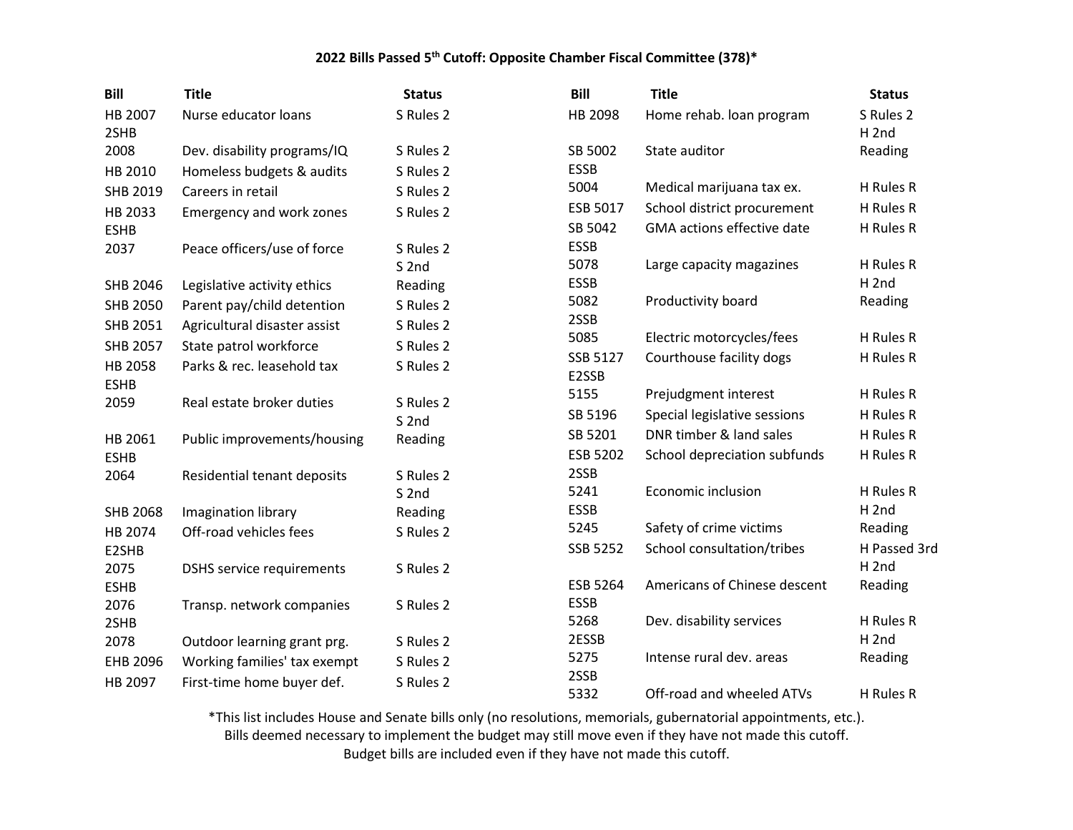| <b>Bill</b>            | <b>Title</b>                     | <b>Status</b>    | <b>Bill</b>       | <b>Title</b>                 | <b>Status</b>                 |
|------------------------|----------------------------------|------------------|-------------------|------------------------------|-------------------------------|
| HB 2007<br>2SHB        | Nurse educator loans             | S Rules 2        | HB 2098           | Home rehab. Ioan program     | S Rules 2<br>H <sub>2nd</sub> |
| 2008                   | Dev. disability programs/IQ      | S Rules 2        | SB 5002           | State auditor                | Reading                       |
| HB 2010                | Homeless budgets & audits        | S Rules 2        | <b>ESSB</b>       |                              |                               |
| SHB 2019               | Careers in retail                | S Rules 2        | 5004              | Medical marijuana tax ex.    | H Rules R                     |
| HB 2033                | Emergency and work zones         | S Rules 2        | ESB 5017          | School district procurement  | H Rules R                     |
| <b>ESHB</b>            |                                  |                  | SB 5042           | GMA actions effective date   | H Rules R                     |
| 2037                   | Peace officers/use of force      | S Rules 2        | <b>ESSB</b>       |                              |                               |
|                        |                                  | S <sub>2nd</sub> | 5078              | Large capacity magazines     | H Rules R                     |
| SHB 2046               | Legislative activity ethics      | Reading          | <b>ESSB</b>       |                              | H <sub>2nd</sub>              |
| <b>SHB 2050</b>        | Parent pay/child detention       | S Rules 2        | 5082              | Productivity board           | Reading                       |
| SHB 2051               | Agricultural disaster assist     | S Rules 2        | 2SSB              |                              |                               |
| <b>SHB 2057</b>        | State patrol workforce           | S Rules 2        | 5085              | Electric motorcycles/fees    | H Rules R                     |
| HB 2058<br><b>ESHB</b> | Parks & rec. leasehold tax       | S Rules 2        | SSB 5127<br>E2SSB | Courthouse facility dogs     | H Rules R                     |
| 2059                   | Real estate broker duties        | S Rules 2        | 5155              | Prejudgment interest         | H Rules R                     |
|                        |                                  | S <sub>2nd</sub> | SB 5196           | Special legislative sessions | H Rules R                     |
| HB 2061                | Public improvements/housing      | Reading          | SB 5201           | DNR timber & land sales      | H Rules R                     |
| <b>ESHB</b>            |                                  |                  | <b>ESB 5202</b>   | School depreciation subfunds | H Rules R                     |
| 2064                   | Residential tenant deposits      | S Rules 2        | 2SSB              |                              |                               |
|                        |                                  | S <sub>2nd</sub> | 5241              | <b>Economic inclusion</b>    | H Rules R                     |
| <b>SHB 2068</b>        | Imagination library              | Reading          | <b>ESSB</b>       |                              | H <sub>2nd</sub>              |
| HB 2074                | Off-road vehicles fees           | S Rules 2        | 5245              | Safety of crime victims      | Reading                       |
| E2SHB                  |                                  |                  | SSB 5252          | School consultation/tribes   | H Passed 3rd                  |
| 2075                   | <b>DSHS</b> service requirements | S Rules 2        |                   |                              | H <sub>2nd</sub>              |
| <b>ESHB</b>            |                                  |                  | <b>ESB 5264</b>   | Americans of Chinese descent | Reading                       |
| 2076                   | Transp. network companies        | S Rules 2        | <b>ESSB</b>       |                              |                               |
| 2SHB                   |                                  |                  | 5268              | Dev. disability services     | H Rules R                     |
| 2078                   | Outdoor learning grant prg.      | S Rules 2        | 2ESSB             |                              | $H$ 2nd                       |
| EHB 2096               | Working families' tax exempt     | S Rules 2        | 5275              | Intense rural dev. areas     | Reading                       |
| HB 2097                | First-time home buyer def.       | S Rules 2        | 2SSB<br>5332      | Off-road and wheeled ATVs    | H Rules R                     |
|                        |                                  |                  |                   |                              |                               |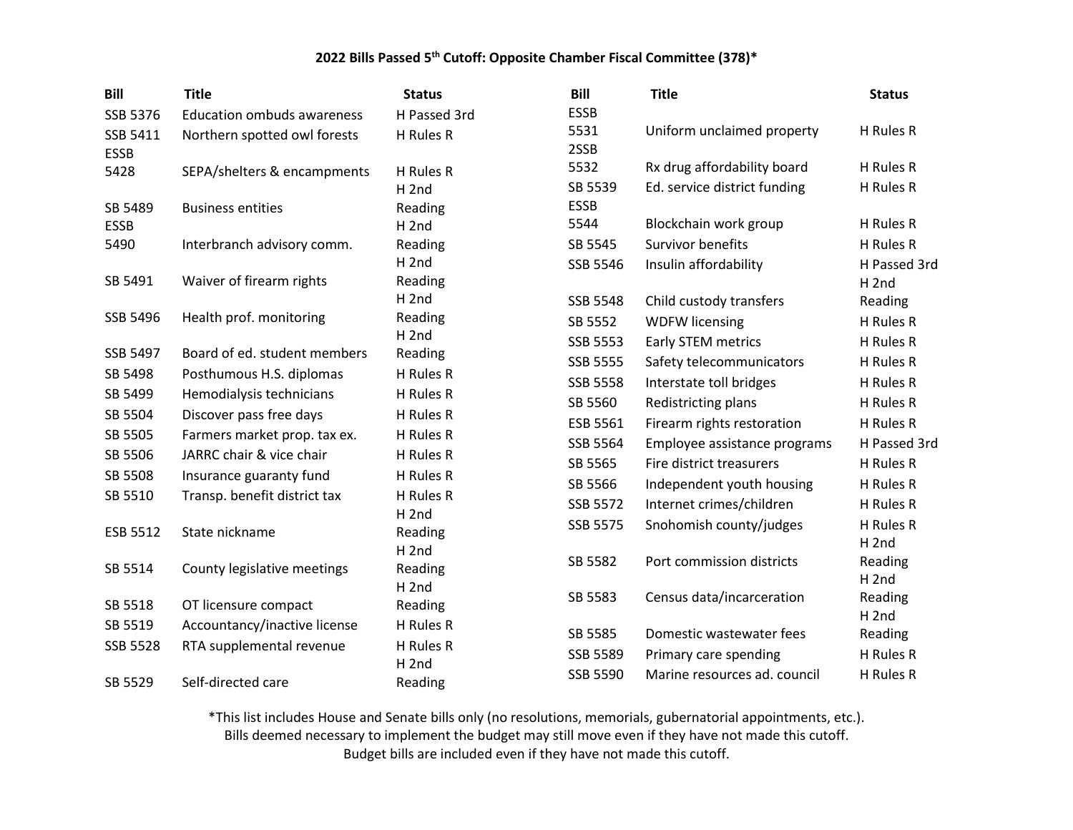| <b>Bill</b>     | <b>Title</b>                      | <b>Status</b>    | <b>Bill</b>     | <b>Title</b>                 | <b>Status</b>                 |
|-----------------|-----------------------------------|------------------|-----------------|------------------------------|-------------------------------|
| SSB 5376        | <b>Education ombuds awareness</b> | H Passed 3rd     | <b>ESSB</b>     |                              |                               |
| SSB 5411        | Northern spotted owl forests      | H Rules R        | 5531            | Uniform unclaimed property   | H Rules R                     |
| <b>ESSB</b>     |                                   |                  | 2SSB            |                              |                               |
| 5428            | SEPA/shelters & encampments       | H Rules R        | 5532            | Rx drug affordability board  | H Rules R                     |
|                 |                                   | H <sub>2nd</sub> | SB 5539         | Ed. service district funding | H Rules R                     |
| SB 5489         | <b>Business entities</b>          | Reading          | <b>ESSB</b>     |                              |                               |
| <b>ESSB</b>     |                                   | H <sub>2nd</sub> | 5544            | Blockchain work group        | H Rules R                     |
| 5490            | Interbranch advisory comm.        | Reading          | SB 5545         | Survivor benefits            | H Rules R                     |
|                 |                                   | H <sub>2nd</sub> | SSB 5546        | Insulin affordability        | H Passed 3rd                  |
| SB 5491         | Waiver of firearm rights          | Reading          |                 |                              | H <sub>2nd</sub>              |
|                 |                                   | H <sub>2nd</sub> | <b>SSB 5548</b> | Child custody transfers      | Reading                       |
| SSB 5496        | Health prof. monitoring           | Reading          | SB 5552         | <b>WDFW licensing</b>        | H Rules R                     |
|                 |                                   | H <sub>2nd</sub> | SSB 5553        | Early STEM metrics           | H Rules R                     |
| SSB 5497        | Board of ed. student members      | Reading          | <b>SSB 5555</b> | Safety telecommunicators     | H Rules R                     |
| SB 5498         | Posthumous H.S. diplomas          | H Rules R        | <b>SSB 5558</b> | Interstate toll bridges      | H Rules R                     |
| SB 5499         | Hemodialysis technicians          | H Rules R        | SB 5560         | Redistricting plans          | H Rules R                     |
| SB 5504         | Discover pass free days           | H Rules R        | ESB 5561        | Firearm rights restoration   | H Rules R                     |
| SB 5505         | Farmers market prop. tax ex.      | H Rules R        | SSB 5564        | Employee assistance programs | H Passed 3rd                  |
| SB 5506         | JARRC chair & vice chair          | H Rules R        | SB 5565         | Fire district treasurers     | H Rules R                     |
| SB 5508         | Insurance guaranty fund           | H Rules R        | SB 5566         | Independent youth housing    | H Rules R                     |
| SB 5510         | Transp. benefit district tax      | H Rules R        | SSB 5572        | Internet crimes/children     | H Rules R                     |
|                 |                                   | H <sub>2nd</sub> |                 |                              |                               |
| ESB 5512        | State nickname                    | Reading          | SSB 5575        | Snohomish county/judges      | H Rules R<br>H <sub>2nd</sub> |
|                 |                                   | H <sub>2nd</sub> | SB 5582         | Port commission districts    | Reading                       |
| SB 5514         | County legislative meetings       | Reading          |                 |                              | H <sub>2nd</sub>              |
|                 |                                   | H <sub>2nd</sub> | SB 5583         | Census data/incarceration    | Reading                       |
| SB 5518         | OT licensure compact              | Reading          |                 |                              | H <sub>2nd</sub>              |
| SB 5519         | Accountancy/inactive license      | H Rules R        | SB 5585         | Domestic wastewater fees     | Reading                       |
| <b>SSB 5528</b> | RTA supplemental revenue          | H Rules R        | SSB 5589        | Primary care spending        | H Rules R                     |
|                 |                                   | H <sub>2nd</sub> | SSB 5590        | Marine resources ad. council | H Rules R                     |
| SB 5529         | Self-directed care                | Reading          |                 |                              |                               |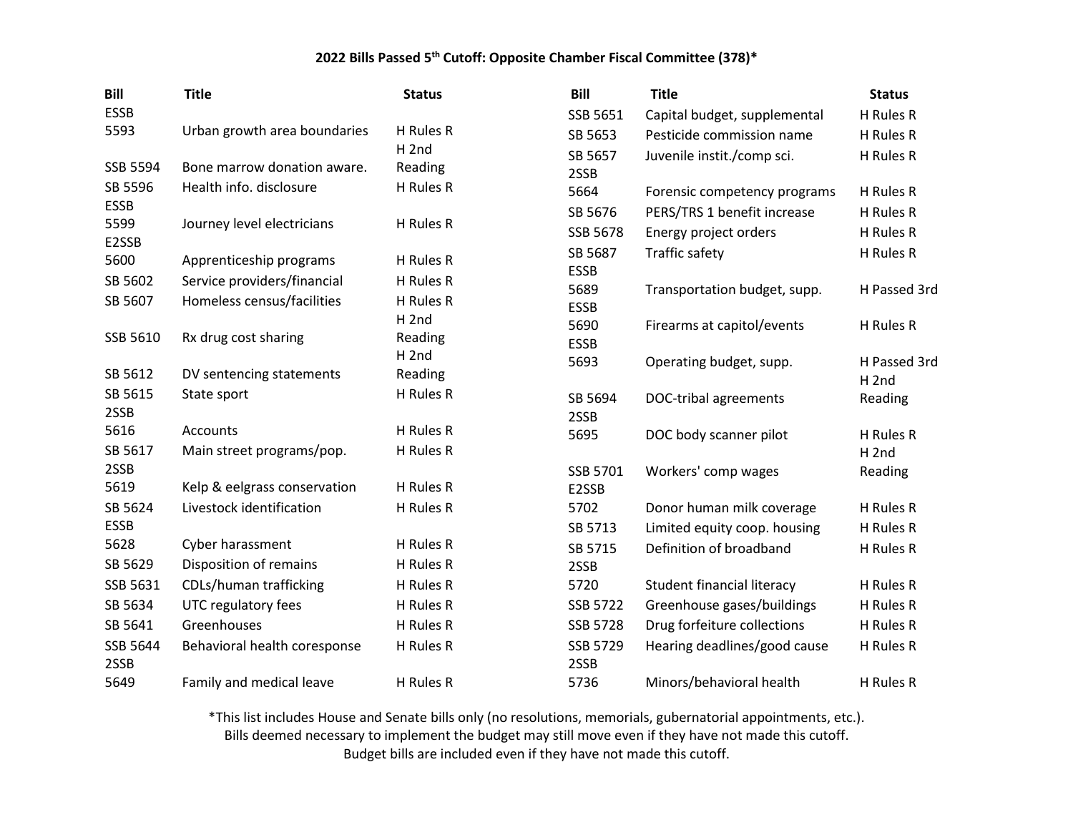| <b>Bill</b> | <b>Title</b>                 | <b>Status</b>               | <b>Bill</b>     | <b>Title</b>                      | <b>Status</b>    |
|-------------|------------------------------|-----------------------------|-----------------|-----------------------------------|------------------|
| <b>ESSB</b> |                              |                             | SSB 5651        | Capital budget, supplemental      | H Rules R        |
| 5593        | Urban growth area boundaries | H Rules R                   | SB 5653         | Pesticide commission name         | H Rules R        |
|             |                              | H <sub>2nd</sub>            | SB 5657         | Juvenile instit./comp sci.        | H Rules R        |
| SSB 5594    | Bone marrow donation aware.  | Reading                     | 2SSB            |                                   |                  |
| SB 5596     | Health info. disclosure      | H Rules R                   | 5664            | Forensic competency programs      | H Rules R        |
| <b>ESSB</b> |                              |                             | SB 5676         | PERS/TRS 1 benefit increase       | H Rules R        |
| 5599        | Journey level electricians   | H Rules R                   | SSB 5678        | Energy project orders             | H Rules R        |
| E2SSB       |                              | H Rules R                   | SB 5687         | <b>Traffic safety</b>             | H Rules R        |
| 5600        | Apprenticeship programs      |                             | <b>ESSB</b>     |                                   |                  |
| SB 5602     | Service providers/financial  | H Rules R                   | 5689            | Transportation budget, supp.      | H Passed 3rd     |
| SB 5607     | Homeless census/facilities   | H Rules R                   | <b>ESSB</b>     |                                   |                  |
| SSB 5610    |                              | H <sub>2nd</sub>            | 5690            | Firearms at capitol/events        | H Rules R        |
|             | Rx drug cost sharing         | Reading<br>H <sub>2nd</sub> | <b>ESSB</b>     |                                   |                  |
| SB 5612     | DV sentencing statements     | Reading                     | 5693            | Operating budget, supp.           | H Passed 3rd     |
| SB 5615     | State sport                  | H Rules R                   |                 |                                   | H <sub>2nd</sub> |
| 2SSB        |                              |                             | SB 5694         | DOC-tribal agreements             | Reading          |
| 5616        | Accounts                     | H Rules R                   | 2SSB<br>5695    | DOC body scanner pilot            | H Rules R        |
| SB 5617     | Main street programs/pop.    | H Rules R                   |                 |                                   | H <sub>2nd</sub> |
| 2SSB        |                              |                             | SSB 5701        | Workers' comp wages               | Reading          |
| 5619        | Kelp & eelgrass conservation | H Rules R                   | E2SSB           |                                   |                  |
| SB 5624     | Livestock identification     | H Rules R                   | 5702            | Donor human milk coverage         | H Rules R        |
| <b>ESSB</b> |                              |                             | SB 5713         | Limited equity coop. housing      | H Rules R        |
| 5628        | Cyber harassment             | H Rules R                   | SB 5715         | Definition of broadband           | H Rules R        |
| SB 5629     | Disposition of remains       | H Rules R                   | 2SSB            |                                   |                  |
| SSB 5631    | CDLs/human trafficking       | H Rules R                   | 5720            | <b>Student financial literacy</b> | H Rules R        |
| SB 5634     | UTC regulatory fees          | H Rules R                   | SSB 5722        | Greenhouse gases/buildings        | H Rules R        |
| SB 5641     | Greenhouses                  | H Rules R                   | <b>SSB 5728</b> | Drug forfeiture collections       | H Rules R        |
| SSB 5644    | Behavioral health coresponse | H Rules R                   | SSB 5729        | Hearing deadlines/good cause      | H Rules R        |
| 2SSB        |                              |                             | 2SSB            |                                   |                  |
| 5649        | Family and medical leave     | H Rules R                   | 5736            | Minors/behavioral health          | H Rules R        |

\*This list includes House and Senate bills only (no resolutions, memorials, gubernatorial appointments, etc.). Bills deemed necessary to implement the budget may still move even if they have not made this cutoff.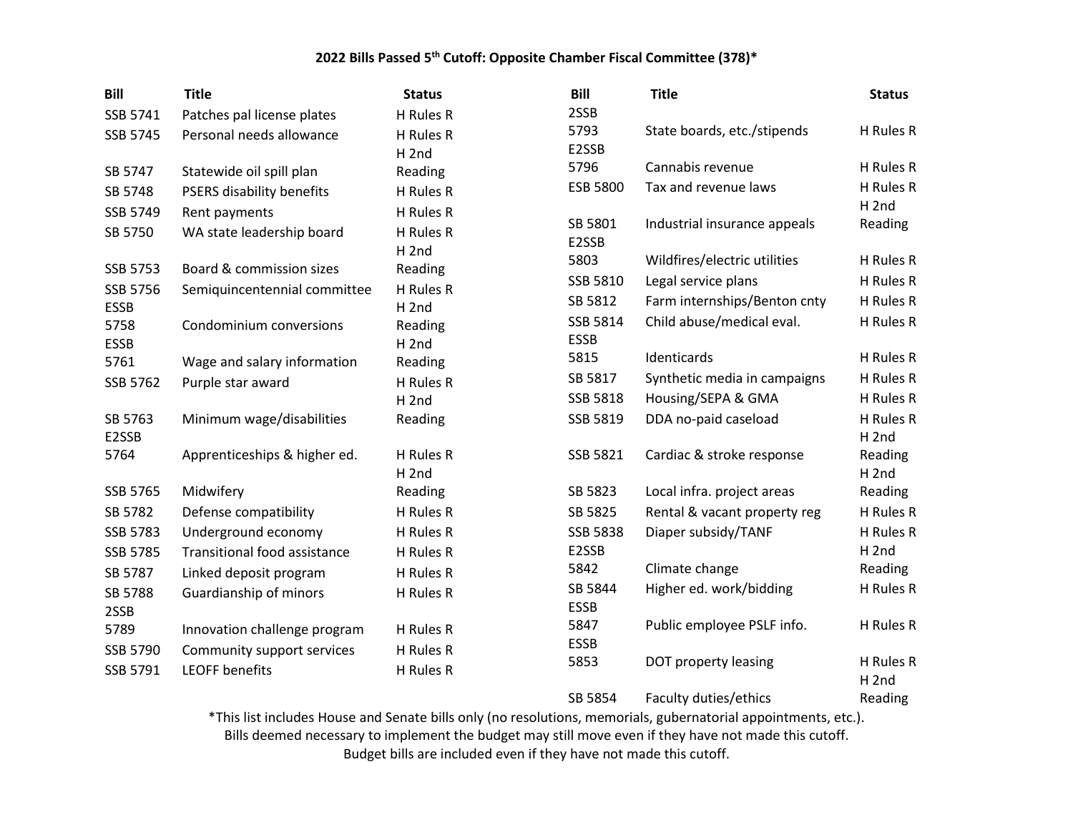| <b>Bill</b>      | <b>Title</b>                        | <b>Status</b>    | Bill                    | <b>Title</b>                 | <b>Status</b>                 |
|------------------|-------------------------------------|------------------|-------------------------|------------------------------|-------------------------------|
| SSB 5741         | Patches pal license plates          | H Rules R        | 2SSB                    |                              |                               |
| SSB 5745         | Personal needs allowance            | H Rules R        | 5793                    | State boards, etc./stipends  | H Rules R                     |
|                  |                                     | H <sub>2nd</sub> | E2SSB                   |                              |                               |
| SB 5747          | Statewide oil spill plan            | Reading          | 5796                    | Cannabis revenue             | H Rules R                     |
| SB 5748          | PSERS disability benefits           | H Rules R        | <b>ESB 5800</b>         | Tax and revenue laws         | H Rules R                     |
| SSB 5749         | Rent payments                       | H Rules R        |                         |                              | H <sub>2nd</sub>              |
| SB 5750          | WA state leadership board           | H Rules R        | SB 5801<br>E2SSB        | Industrial insurance appeals | Reading                       |
|                  |                                     | H <sub>2nd</sub> | 5803                    | Wildfires/electric utilities | H Rules R                     |
| SSB 5753         | Board & commission sizes            | Reading          | SSB 5810                | Legal service plans          | H Rules R                     |
| SSB 5756         | Semiquincentennial committee        | H Rules R        | SB 5812                 |                              | H Rules R                     |
| <b>ESSB</b>      |                                     | H <sub>2nd</sub> |                         | Farm internships/Benton cnty |                               |
| 5758             | Condominium conversions             | Reading          | SSB 5814<br><b>ESSB</b> | Child abuse/medical eval.    | H Rules R                     |
| <b>ESSB</b>      |                                     | H <sub>2nd</sub> | 5815                    | Identicards                  | H Rules R                     |
| 5761             | Wage and salary information         | Reading          | SB 5817                 | Synthetic media in campaigns | H Rules R                     |
| SSB 5762         | Purple star award                   | H Rules R        | SSB 5818                | Housing/SEPA & GMA           | H Rules R                     |
|                  |                                     | H <sub>2nd</sub> |                         |                              |                               |
| SB 5763<br>E2SSB | Minimum wage/disabilities           | Reading          | SSB 5819                | DDA no-paid caseload         | H Rules R<br>H <sub>2nd</sub> |
| 5764             | Apprenticeships & higher ed.        | H Rules R        | SSB 5821                | Cardiac & stroke response    | Reading                       |
|                  |                                     | H <sub>2nd</sub> |                         |                              | H <sub>2nd</sub>              |
| SSB 5765         | Midwifery                           | Reading          | SB 5823                 | Local infra. project areas   | Reading                       |
| SB 5782          | Defense compatibility               | H Rules R        | SB 5825                 | Rental & vacant property reg | H Rules R                     |
| <b>SSB 5783</b>  | Underground economy                 | H Rules R        | <b>SSB 5838</b>         | Diaper subsidy/TANF          | H Rules R                     |
| SSB 5785         | <b>Transitional food assistance</b> | H Rules R        | E2SSB                   |                              | H <sub>2nd</sub>              |
| SB 5787          | Linked deposit program              | H Rules R        | 5842                    | Climate change               | Reading                       |
| SB 5788          | Guardianship of minors              | H Rules R        | SB 5844                 | Higher ed. work/bidding      | H Rules R                     |
| 2SSB             |                                     |                  | <b>ESSB</b>             |                              |                               |
| 5789             | Innovation challenge program        | H Rules R        | 5847                    | Public employee PSLF info.   | H Rules R                     |
| SSB 5790         | Community support services          | H Rules R        | <b>ESSB</b>             |                              |                               |
| SSB 5791         | <b>LEOFF benefits</b>               | H Rules R        | 5853                    | DOT property leasing         | H Rules R<br>H <sub>2nd</sub> |
|                  |                                     |                  | SB 5854                 | Faculty duties/ethics        | Reading                       |

\*This list includes House and Senate bills only (no resolutions, memorials, gubernatorial appointments, etc.). Bills deemed necessary to implement the budget may still move even if they have not made this cutoff.